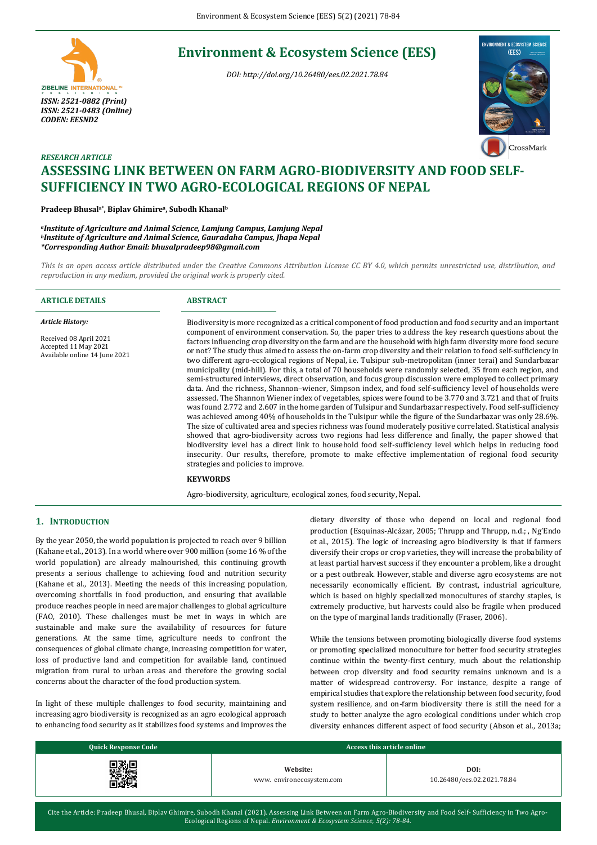# **Environment & Ecosystem Science (EES)**

*DOI: http://doi.org/10.26480/ees.02.2021.78.84*





# *RESEARCH ARTICLE* **ASSESSING LINK BETWEEN ON FARM AGRO-BIODIVERSITY AND FOOD SELF-SUFFICIENCY IN TWO AGRO-ECOLOGICAL REGIONS OF NEPAL**

#### **Pradeep Bhusala\* , Biplav Ghimire<sup>a</sup> , Subodh Khanal<sup>b</sup>**

*<sup>a</sup>Institute of Agriculture and Animal Science, Lamjung Campus, Lamjung Nepal <sup>b</sup>Institute of Agriculture and Animal Science, Gauradaha Campus, Jhapa Nepal \*Corresponding Author Email: bhusalpradeep98@gmail.com*

*This is an open access article distributed under the Creative Commons Attribution License CC BY 4.0, which permits unrestricted use, distribution, and reproduction in any medium, provided the original work is properly cited.*

| <b>ARTICLE DETAILS</b>                                                                                     | <b>ABSTRACT</b>                                                                                                                                                                                                                                                                                                                                                                                                                                                                                                                                                                                                                                                                                                                                                                                                                                                                                                                                                                                                                                                                                                                                                                                                                                                                                                                                                                                                                                                                                                                                                                                                                                                                                                                                                                           |
|------------------------------------------------------------------------------------------------------------|-------------------------------------------------------------------------------------------------------------------------------------------------------------------------------------------------------------------------------------------------------------------------------------------------------------------------------------------------------------------------------------------------------------------------------------------------------------------------------------------------------------------------------------------------------------------------------------------------------------------------------------------------------------------------------------------------------------------------------------------------------------------------------------------------------------------------------------------------------------------------------------------------------------------------------------------------------------------------------------------------------------------------------------------------------------------------------------------------------------------------------------------------------------------------------------------------------------------------------------------------------------------------------------------------------------------------------------------------------------------------------------------------------------------------------------------------------------------------------------------------------------------------------------------------------------------------------------------------------------------------------------------------------------------------------------------------------------------------------------------------------------------------------------------|
| <b>Article History:</b><br>Received 08 April 2021<br>Accepted 11 May 2021<br>Available online 14 June 2021 | Biodiversity is more recognized as a critical component of food production and food security and an important<br>component of environment conservation. So, the paper tries to address the key research questions about the<br>factors influencing crop diversity on the farm and are the household with high farm diversity more food secure<br>or not? The study thus aimed to assess the on-farm crop diversity and their relation to food self-sufficiency in<br>two different agro-ecological regions of Nepal, i.e. Tulsipur sub-metropolitan (inner terai) and Sundarbazar<br>municipality (mid-hill). For this, a total of 70 households were randomly selected, 35 from each region, and<br>semi-structured interviews, direct observation, and focus group discussion were employed to collect primary<br>data. And the richness, Shannon-wiener, Simpson index, and food self-sufficiency level of households were<br>assessed. The Shannon Wiener index of vegetables, spices were found to be 3.770 and 3.721 and that of fruits<br>was found 2.772 and 2.607 in the home garden of Tulsipur and Sundarbazar respectively. Food self-sufficiency<br>was achieved among 40% of households in the Tulsipur while the figure of the Sundarbazar was only 28.6%.<br>The size of cultivated area and species richness was found moderately positive correlated. Statistical analysis<br>showed that agro-biodiversity across two regions had less difference and finally, the paper showed that<br>biodiversity level has a direct link to household food self-sufficiency level which helps in reducing food<br>insecurity. Our results, therefore, promote to make effective implementation of regional food security<br>strategies and policies to improve.<br><b>KEYWORDS</b> |
|                                                                                                            | Agro-biodiversity, agriculture, ecological zones, food security, Nepal.                                                                                                                                                                                                                                                                                                                                                                                                                                                                                                                                                                                                                                                                                                                                                                                                                                                                                                                                                                                                                                                                                                                                                                                                                                                                                                                                                                                                                                                                                                                                                                                                                                                                                                                   |

## **1. INTRODUCTION**

By the year 2050, the world population is projected to reach over 9 billion (Kahane et al., 2013). In a world where over 900 million (some 16 % of the world population) are already malnourished, this continuing growth presents a serious challenge to achieving food and nutrition security (Kahane et al., 2013). Meeting the needs of this increasing population, overcoming shortfalls in food production, and ensuring that available produce reaches people in need are major challenges to global agriculture (FAO, 2010). These challenges must be met in ways in which are sustainable and make sure the availability of resources for future generations. At the same time, agriculture needs to confront the consequences of global climate change, increasing competition for water, loss of productive land and competition for available land, continued migration from rural to urban areas and therefore the growing social concerns about the character of the food production system.

In light of these multiple challenges to food security, maintaining and increasing agro biodiversity is recognized as an agro ecological approach to enhancing food security as it stabilizes food systems and improves the dietary diversity of those who depend on local and regional food production (Esquinas-Alcázar, 2005; Thrupp and Thrupp, n.d.; , Ng'Endo et al., 2015). The logic of increasing agro biodiversity is that if farmers diversify their crops or crop varieties, they will increase the probability of at least partial harvest success if they encounter a problem, like a drought or a pest outbreak. However, stable and diverse agro ecosystems are not necessarily economically efficient. By contrast, industrial agriculture, which is based on highly specialized monocultures of starchy staples, is extremely productive, but harvests could also be fragile when produced on the type of marginal lands traditionally (Fraser, 2006).

While the tensions between promoting biologically diverse food systems or promoting specialized monoculture for better food security strategies continue within the twenty-first century, much about the relationship between crop diversity and food security remains unknown and is a matter of widespread controversy. For instance, despite a range of empirical studies that explore the relationship between food security, food system resilience, and on-farm biodiversity there is still the need for a study to better analyze the agro ecological conditions under which crop diversity enhances different aspect of food security (Abson et al., 2013a;

| <b>Quick Response Code</b> | Access this article online |                            |  |
|----------------------------|----------------------------|----------------------------|--|
| ⊿鹅┏                        | Website:                   | DOI:                       |  |
| . ab                       | www.environecosystem.com   | 10.26480/ees.02.2021.78.84 |  |

Cite the Article: Pradeep Bhusal, Biplav Ghimire, Subodh Khanal (2021). Assessing Link Between on Farm Agro-Biodiversity and Food Self- Sufficiency in Two Agro-Ecological Regions of Nepal. *Environment & Ecosystem Science, 5(2): 78-84*.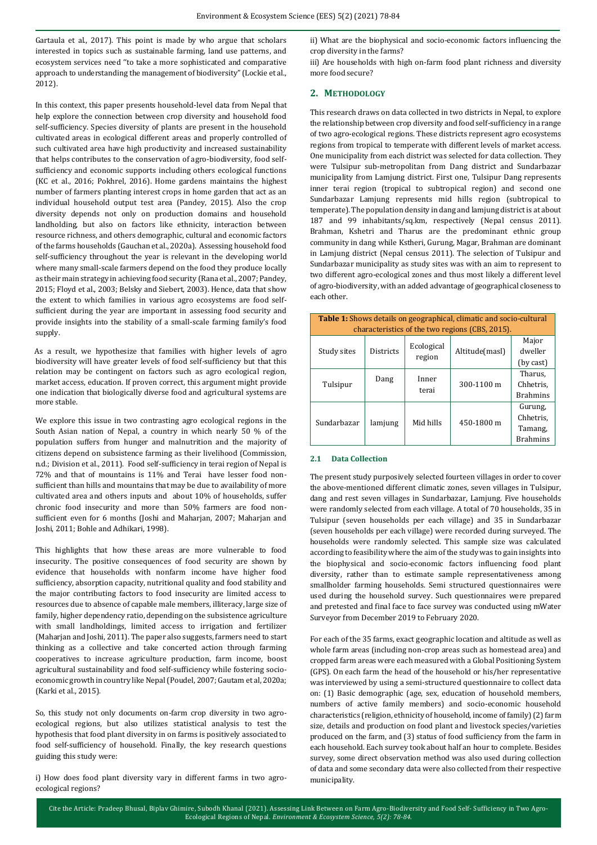Gartaula et al., 2017). This point is made by who argue that scholars interested in topics such as sustainable farming, land use patterns, and ecosystem services need ''to take a more sophisticated and comparative approach to understanding the management of biodiversity" (Lockie et al., 2012).

In this context, this paper presents household-level data from Nepal that help explore the connection between crop diversity and household food self-sufficiency. Species diversity of plants are present in the household cultivated areas in ecological different areas and properly controlled of such cultivated area have high productivity and increased sustainability that helps contributes to the conservation of agro-biodiversity, food selfsufficiency and economic supports including others ecological functions (KC et al., 2016; Pokhrel, 2016). Home gardens maintains the highest number of farmers planting interest crops in home garden that act as an individual household output test area (Pandey, 2015). Also the crop diversity depends not only on production domains and household landholding, but also on factors like ethnicity, interaction between resource richness, and others demographic, cultural and economic factors of the farms households (Gauchan et al., 2020a). Assessing household food self-sufficiency throughout the year is relevant in the developing world where many small-scale farmers depend on the food they produce locally as their main strategy in achieving food security (Rana et al., 2007; Pandey, 2015; Floyd et al., 2003; Belsky and Siebert, 2003). Hence, data that show the extent to which families in various agro ecosystems are food selfsufficient during the year are important in assessing food security and provide insights into the stability of a small-scale farming family's food supply.

As a result, we hypothesize that families with higher levels of agro biodiversity will have greater levels of food self-sufficiency but that this relation may be contingent on factors such as agro ecological region, market access, education. If proven correct, this argument might provide one indication that biologically diverse food and agricultural systems are more stable.

We explore this issue in two contrasting agro ecological regions in the South Asian nation of Nepal, a country in which nearly 50 % of the population suffers from hunger and malnutrition and the majority of citizens depend on subsistence farming as their livelihood (Commission, n.d.; Division et al., 2011). Food self-sufficiency in terai region of Nepal is 72% and that of mountains is 11% and Terai have lesser food nonsufficient than hills and mountains that may be due to availability of more cultivated area and others inputs and about 10% of households, suffer chronic food insecurity and more than 50% farmers are food nonsufficient even for 6 months (Joshi and Maharjan, 2007; Maharjan and Joshi, 2011; Bohle and Adhikari, 1998).

This highlights that how these areas are more vulnerable to food insecurity. The positive consequences of food security are shown by evidence that households with nonfarm income have higher food sufficiency, absorption capacity, nutritional quality and food stability and the major contributing factors to food insecurity are limited access to resources due to absence of capable male members, illiteracy, large size of family, higher dependency ratio, depending on the subsistence agriculture with small landholdings, limited access to irrigation and fertilizer (Maharjan and Joshi, 2011). The paper also suggests, farmers need to start thinking as a collective and take concerted action through farming cooperatives to increase agriculture production, farm income, boost agricultural sustainability and food self-sufficiency while fostering socioeconomic growth in country like Nepal (Poudel, 2007; Gautam et al, 2020a; (Karki et al., 2015).

So, this study not only documents on-farm crop diversity in two agroecological regions, but also utilizes statistical analysis to test the hypothesis that food plant diversity in on farms is positively associated to food self-sufficiency of household. Finally, the key research questions guiding this study were:

i) How does food plant diversity vary in different farms in two agroecological regions?

ii) What are the biophysical and socio-economic factors influencing the crop diversity in the farms?

iii) Are households with high on-farm food plant richness and diversity more food secure?

# **2. METHODOLOGY**

This research draws on data collected in two districts in Nepal, to explore the relationship between crop diversity and food self-sufficiency in a range of two agro-ecological regions. These districts represent agro ecosystems regions from tropical to temperate with different levels of market access. One municipality from each district was selected for data collection. They were Tulsipur sub-metropolitan from Dang district and Sundarbazar municipality from Lamjung district. First one, Tulsipur Dang represents inner terai region (tropical to subtropical region) and second one Sundarbazar Lamjung represents mid hills region (subtropical to temperate). The population density in dang and lamjung district is at about 187 and 99 inhabitants/sq.km, respectively (Nepal census 2011). Brahman, Kshetri and Tharus are the predominant ethnic group community in dang while Kstheri, Gurung, Magar, Brahman are dominant in Lamjung district (Nepal census 2011). The selection of Tulsipur and Sundarbazar municipality as study sites was with an aim to represent to two different agro-ecological zones and thus most likely a different level of agro-biodiversity, with an added advantage of geographical closeness to each other.

| <b>Table 1:</b> Shows details on geographical, climatic and socio-cultural<br>characteristics of the two regions (CBS, 2015). |                  |                      |                |                                                      |  |  |
|-------------------------------------------------------------------------------------------------------------------------------|------------------|----------------------|----------------|------------------------------------------------------|--|--|
| Study sites                                                                                                                   | <b>Districts</b> | Ecological<br>region | Altitude(masl) |                                                      |  |  |
| Tulsipur                                                                                                                      | Dang             | Inner<br>terai       | 300-1100 m     | (by cast)<br>Tharus.<br>Chhetris.<br><b>Brahmins</b> |  |  |
| Sundarbazar                                                                                                                   | lamjung          | Mid hills            | 450-1800 m     | Gurung,<br>Chhetris.<br>Tamang,<br><b>Brahmins</b>   |  |  |

### **2.1 Data Collection**

The present study purposively selected fourteen villages in order to cover the above-mentioned different climatic zones, seven villages in Tulsipur, dang and rest seven villages in Sundarbazar, Lamjung. Five households were randomly selected from each village. A total of 70 households, 35 in Tulsipur (seven households per each village) and 35 in Sundarbazar (seven households per each village) were recorded during surveyed. The households were randomly selected. This sample size was calculated according to feasibility where the aim of the study was to gain insights into the biophysical and socio-economic factors influencing food plant diversity, rather than to estimate sample representativeness among smallholder farming households. Semi structured questionnaires were used during the household survey. Such questionnaires were prepared and pretested and final face to face survey was conducted using mWater Surveyor from December 2019 to February 2020.

For each of the 35 farms, exact geographic location and altitude as well as whole farm areas (including non-crop areas such as homestead area) and cropped farm areas were each measured with a Global Positioning System (GPS). On each farm the head of the household or his/her representative was interviewed by using a semi-structured questionnaire to collect data on: (1) Basic demographic (age, sex, education of household members, numbers of active family members) and socio-economic household characteristics (religion, ethnicity of household, income of family) (2) farm size, details and production on food plant and livestock species/varieties produced on the farm, and (3) status of food sufficiency from the farm in each household. Each survey took about half an hour to complete. Besides survey, some direct observation method was also used during collection of data and some secondary data were also collected from their respective municipality.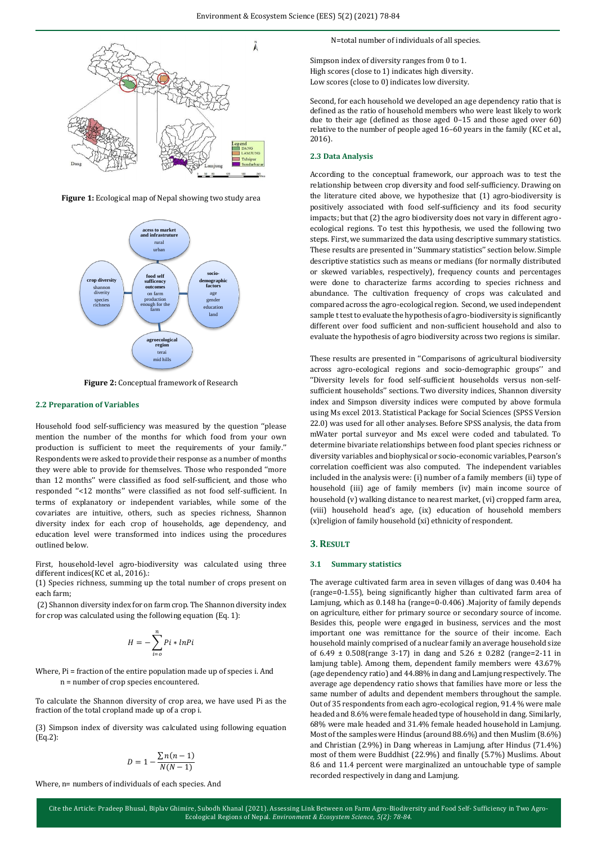

**Figure 1:** Ecological map of Nepal showing two study area



**Figure 2:** Conceptual framework of Research

#### **2.2 Preparation of Variables**

Household food self-sufficiency was measured by the question ''please mention the number of the months for which food from your own production is sufficient to meet the requirements of your family.'' Respondents were asked to provide their response as a number of months they were able to provide for themselves. Those who responded ''more than 12 months'' were classified as food self-sufficient, and those who responded ''<12 months'' were classified as not food self-sufficient. In terms of explanatory or independent variables, while some of the covariates are intuitive, others, such as species richness, Shannon diversity index for each crop of households, age dependency, and education level were transformed into indices using the procedures outlined below.

First, household-level agro-biodiversity was calculated using three different indices(KC et al., 2016).:

(1) Species richness, summing up the total number of crops present on each farm;

(2) Shannon diversity index for on farm crop. The Shannon diversity index for crop was calculated using the following equation (Eq. 1):

$$
H = -\sum_{i=0}^{n} Pi * lnPi
$$

Where, Pi = fraction of the entire population made up of species i. And n = number of crop species encountered.

To calculate the Shannon diversity of crop area, we have used Pi as the fraction of the total cropland made up of a crop i.

(3) Simpson index of diversity was calculated using following equation (Eq.2):

$$
D = 1 - \frac{\sum n(n-1)}{N(N-1)}
$$

Where, n= numbers of individuals of each species. And

N=total number of individuals of all species.

Simpson index of diversity ranges from 0 to 1. High scores (close to 1) indicates high diversity. Low scores (close to 0) indicates low diversity.

Second, for each household we developed an age dependency ratio that is defined as the ratio of household members who were least likely to work due to their age (defined as those aged 0–15 and those aged over 60) relative to the number of people aged 16–60 years in the family (KC et al., 2016).

#### **2.3 Data Analysis**

According to the conceptual framework, our approach was to test the relationship between crop diversity and food self-sufficiency. Drawing on the literature cited above, we hypothesize that (1) agro-biodiversity is positively associated with food self-sufficiency and its food security impacts; but that (2) the agro biodiversity does not vary in different agroecological regions. To test this hypothesis, we used the following two steps. First, we summarized the data using descriptive summary statistics. These results are presented in ''Summary statistics'' section below. Simple descriptive statistics such as means or medians (for normally distributed or skewed variables, respectively), frequency counts and percentages were done to characterize farms according to species richness and abundance. The cultivation frequency of crops was calculated and compared across the agro-ecological region. Second, we used independent sample t test to evaluate the hypothesis of agro-biodiversity is significantly different over food sufficient and non-sufficient household and also to evaluate the hypothesis of agro biodiversity across two regions is similar.

These results are presented in ''Comparisons of agricultural biodiversity across agro-ecological regions and socio-demographic groups'' and ''Diversity levels for food self-sufficient households versus non-selfsufficient households'' sections. Two diversity indices, Shannon diversity index and Simpson diversity indices were computed by above formula using Ms excel 2013. Statistical Package for Social Sciences (SPSS Version 22.0) was used for all other analyses. Before SPSS analysis, the data from mWater portal surveyor and Ms excel were coded and tabulated. To determine bivariate relationships between food plant species richness or diversity variables and biophysical or socio-economic variables, Pearson's correlation coefficient was also computed. The independent variables included in the analysis were: (i) number of a family members (ii) type of household (iii) age of family members (iv) main income source of household (v) walking distance to nearest market, (vi) cropped farm area, (viii) household head's age, (ix) education of household members (x)religion of family household (xi) ethnicity of respondent.

#### **3. RESULT**

#### **3.1 Summary statistics**

The average cultivated farm area in seven villages of dang was 0.404 ha (range=0-1.55), being significantly higher than cultivated farm area of Lamjung, which as 0.148 ha (range=0-0.406) .Majority of family depends on agriculture, either for primary source or secondary source of income. Besides this, people were engaged in business, services and the most important one was remittance for the source of their income. Each household mainly comprised of a nuclear family an average household size of 6.49  $\pm$  0.508(range 3-17) in dang and 5.26  $\pm$  0.282 (range=2-11 in lamjung table). Among them, dependent family members were 43.67% (age dependency ratio) and 44.88% in dang and Lamjung respectively. The average age dependency ratio shows that families have more or less the same number of adults and dependent members throughout the sample. Out of 35 respondents from each agro-ecological region, 91.4 % were male headed and 8.6% were female headed type of household in dang. Similarly, 68% were male headed and 31.4% female headed household in Lamjung. Most of the samples were Hindus (around 88.6%) and then Muslim (8.6%) and Christian (2.9%) in Dang whereas in Lamjung, after Hindus (71.4%) most of them were Buddhist (22.9%) and finally (5.7%) Muslims. About 8.6 and 11.4 percent were marginalized an untouchable type of sample recorded respectively in dang and Lamjung.

Cite the Article: Pradeep Bhusal, Biplav Ghimire, Subodh Khanal (2021). Assessing Link Between on Farm Agro-Biodiversity and Food Self- Sufficiency in Two Agro-Ecological Regions of Nepal. *Environment & Ecosystem Science, 5(2): 78-84*.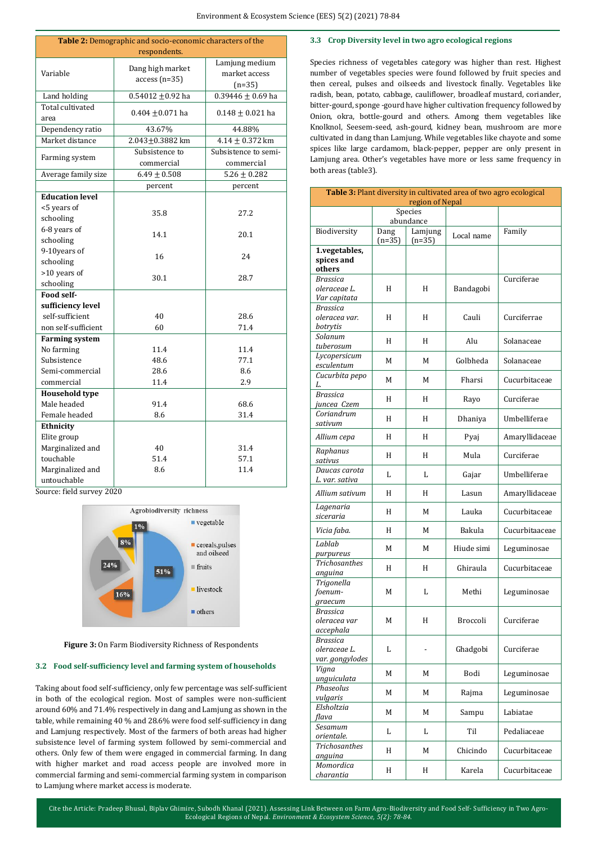| Table 2: Demographic and socio-economic characters of the   |                                    |                                             |  |  |  |
|-------------------------------------------------------------|------------------------------------|---------------------------------------------|--|--|--|
|                                                             | respondents.                       |                                             |  |  |  |
| Variable                                                    | Dang high market<br>$access(n=35)$ | Lamjung medium<br>market access<br>$(n=35)$ |  |  |  |
| Land holding                                                | $0.54012 \pm 0.92$ ha              | $0.39446 \pm 0.69$ ha                       |  |  |  |
| Total cultivated<br>area                                    | $0.404 + 0.071$ ha                 | $0.148 \pm 0.021$ ha                        |  |  |  |
| Dependency ratio                                            | 43.67%                             | 44.88%                                      |  |  |  |
| Market distance                                             | $2.043 + 0.3882$ km                | $4.14 \pm 0.372$ km                         |  |  |  |
| Farming system                                              | Subsistence to<br>commercial       | Subsistence to semi-<br>commercial          |  |  |  |
| Average family size                                         | $6.49 \pm 0.508$                   | $5.26 \pm 0.282$                            |  |  |  |
|                                                             | percent                            | percent                                     |  |  |  |
| <b>Education level</b><br><5 years of<br>schooling          | 35.8                               | 27.2                                        |  |  |  |
| 6-8 years of<br>schooling                                   | 14.1                               | 20.1                                        |  |  |  |
| 9-10years of<br>schooling                                   | 16                                 | 24                                          |  |  |  |
| >10 years of<br>schooling                                   | 30.1                               | 28.7                                        |  |  |  |
| Food self-                                                  |                                    |                                             |  |  |  |
| sufficiency level<br>self-sufficient<br>non self-sufficient | 40<br>60                           | 28.6<br>71.4                                |  |  |  |
| <b>Farming system</b>                                       |                                    |                                             |  |  |  |
| No farming                                                  | 11.4                               | 11.4                                        |  |  |  |
| Subsistence                                                 | 48.6                               | 77.1                                        |  |  |  |
| Semi-commercial                                             | 28.6                               | 8.6                                         |  |  |  |
| commercial                                                  | 11.4                               | 2.9                                         |  |  |  |
| <b>Household type</b>                                       |                                    |                                             |  |  |  |
| Male headed                                                 | 91.4                               | 68.6                                        |  |  |  |
| Female headed                                               | 8.6                                | 31.4                                        |  |  |  |
| Ethnicity                                                   |                                    |                                             |  |  |  |
| Elite group                                                 |                                    |                                             |  |  |  |
| Marginalized and                                            | 40                                 | 31.4                                        |  |  |  |
| touchable                                                   | 51.4                               | 57.1                                        |  |  |  |
| Marginalized and<br>untouchable                             | 8.6                                | 11.4                                        |  |  |  |

Source: field survey 2020



**Figure 3:** On Farm Biodiversity Richness of Respondents

## **3.2 Food self-sufficiency level and farming system of households**

Taking about food self-sufficiency, only few percentage was self-sufficient in both of the ecological region. Most of samples were non-sufficient around 60% and 71.4% respectively in dang and Lamjung as shown in the table, while remaining 40 % and 28.6% were food self-sufficiency in dang and Lamjung respectively. Most of the farmers of both areas had higher subsistence level of farming system followed by semi-commercial and others. Only few of them were engaged in commercial farming. In dang with higher market and road access people are involved more in commercial farming and semi-commercial farming system in comparison to Lamjung where market access is moderate.

## **3.3 Crop Diversity level in two agro ecological regions**

Species richness of vegetables category was higher than rest. Highest number of vegetables species were found followed by fruit species and then cereal, pulses and oilseeds and livestock finally. Vegetables like radish, bean, potato, cabbage, cauliflower, broadleaf mustard, coriander, bitter-gourd, sponge -gourd have higher cultivation frequency followed by Onion, okra, bottle-gourd and others. Among them vegetables like Knolknol, Seesem-seed, ash-gourd, kidney bean, mushroom are more cultivated in dang than Lamjung. While vegetables like chayote and some spices like large cardamom, black-pepper, pepper are only present in Lamjung area. Other's vegetables have more or less same frequency in both areas (table3).

| <b>Table 3:</b> Plant diversity in cultivated area of two agro ecological<br>region of Nepal |                  |                     |            |                |  |
|----------------------------------------------------------------------------------------------|------------------|---------------------|------------|----------------|--|
|                                                                                              |                  | Species             |            |                |  |
|                                                                                              | abundance        |                     |            |                |  |
| Biodiversity                                                                                 | Dang<br>$(n=35)$ | Lamjung<br>$(n=35)$ | Local name | Family         |  |
| 1.vegetables,                                                                                |                  |                     |            |                |  |
| spices and                                                                                   |                  |                     |            |                |  |
| others                                                                                       |                  |                     |            |                |  |
| <b>Brassica</b>                                                                              | H                | H                   |            | Curciferae     |  |
| oleraceae L.<br>Var capitata                                                                 |                  |                     | Bandagobi  |                |  |
| <b>Brassica</b>                                                                              |                  |                     |            |                |  |
| oleracea var.                                                                                | H                | H                   | Cauli      | Curciferrae    |  |
| botrytis                                                                                     |                  |                     |            |                |  |
| Solanum                                                                                      | H                | H                   | Alu        | Solanaceae     |  |
| tuberosum                                                                                    |                  |                     |            |                |  |
| Lycopersicum                                                                                 | M                | М                   | Golbheda   | Solanaceae     |  |
| esculentum<br>Cucurbita pepo                                                                 |                  |                     |            |                |  |
| L.                                                                                           | M                | М                   | Fharsi     | Cucurbitaceae  |  |
| <b>Brassica</b>                                                                              |                  |                     |            |                |  |
| juncea Czem                                                                                  | H                | H                   | Rayo       | Curciferae     |  |
| Coriandrum                                                                                   | H                | H                   | Dhaniya    | Umbelliferae   |  |
| sativum                                                                                      |                  |                     |            |                |  |
| Allium cepa                                                                                  | H                | H                   | Pyaj       | Amaryllidaceae |  |
| Raphanus                                                                                     |                  |                     |            | Curciferae     |  |
| sativus                                                                                      | H                | H                   | Mula       |                |  |
| Daucas carota                                                                                | L                | L                   | Gajar      | Umbelliferae   |  |
| L. var. sativa                                                                               |                  |                     |            |                |  |
| Allium sativum                                                                               | H                | H                   | Lasun      | Amaryllidaceae |  |
| Lagenaria<br>siceraria                                                                       | H                | М                   | Lauka      | Cucurbitaceae  |  |
| Vicia faba.                                                                                  | H                | M                   | Bakula     | Cucurbitaaceae |  |
| Lablab<br>purpureus                                                                          | M                | M                   | Hiude simi | Leguminosae    |  |
| Trichosanthes<br>anguina                                                                     | H                | H                   | Ghiraula   | Cucurbitaceae  |  |
| Trigonella                                                                                   |                  |                     |            |                |  |
| foenum-                                                                                      | M                | L                   | Methi      | Leguminosae    |  |
| graecum                                                                                      |                  |                     |            |                |  |
| <b>Brassica</b><br>oleracea var                                                              | M                | H                   | Broccoli   | Curciferae     |  |
| accephala                                                                                    |                  |                     |            |                |  |
| <b>Brassica</b>                                                                              |                  |                     |            |                |  |
| oleraceae L.                                                                                 | L                |                     | Ghadgobi   | Curciferae     |  |
| var. gongylodes                                                                              |                  |                     |            |                |  |
| Vigna                                                                                        | М                | М                   | Bodi       | Leguminosae    |  |
| unguiculata<br>Phaseolus                                                                     |                  |                     |            |                |  |
| vulgaris                                                                                     | M                | М                   | Rajma      | Leguminosae    |  |
| Elsholtzia                                                                                   |                  |                     |            |                |  |
| flava                                                                                        | М                | М                   | Sampu      | Labiatae       |  |
| Sesamum                                                                                      | L                | L                   | Til        | Pedaliaceae    |  |
| orientale.                                                                                   |                  |                     |            |                |  |
| <b>Trichosanthes</b><br>anguina                                                              | H                | М                   | Chicindo   | Cucurbitaceae  |  |
| Momordica                                                                                    | H                | H                   | Karela     | Cucurbitaceae  |  |
| charantia                                                                                    |                  |                     |            |                |  |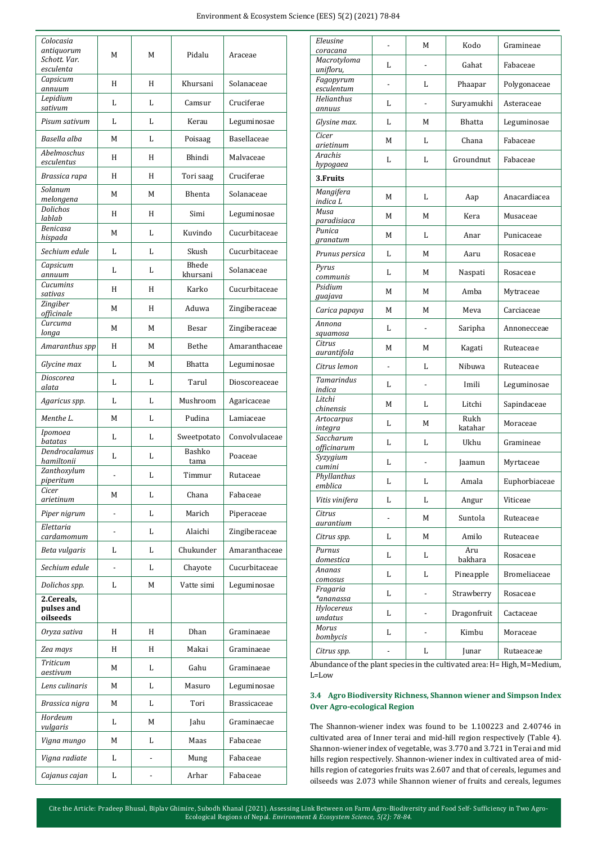| Colocasia                               |   |                          |                |                |  |
|-----------------------------------------|---|--------------------------|----------------|----------------|--|
| antiquorum<br>Schott. Var.<br>esculenta | M | M                        | Pidalu         | Araceae        |  |
| Capsicum<br>annuum                      | H | H                        | Khursani       | Solanaceae     |  |
| Lepidium<br>sativum                     | L | L                        | Camsur         | Cruciferae     |  |
| Pisum sativum                           | L | L                        | Kerau          | Leguminosae    |  |
| Basella alba                            | М | L                        | Poisaag        | Basellaceae    |  |
| Abelmoschus<br>esculentus               | H | H                        | Bhindi         | Malvaceae      |  |
| Brassica rapa                           | H | H                        | Tori saag      | Cruciferae     |  |
| Solanum                                 | М | M                        | Bhenta         | Solanaceae     |  |
| melongena<br>Dolichos                   | H | H                        | Simi           | Leguminosae    |  |
| lablab<br>Benicasa                      | М | L                        | Kuvindo        | Cucurbitaceae  |  |
| hispada<br>Sechium edule                | L | L                        |                | Cucurbitaceae  |  |
| Capsicum                                |   |                          | Skush<br>Bhede |                |  |
| annuum<br>Cucumins                      | L | L                        | khursani       | Solanaceae     |  |
| sativas                                 | H | H                        | Karko          | Cucurbitaceae  |  |
| Zingiber<br>officinale                  | M | H                        | Aduwa          | Zingiberaceae  |  |
| Curcuma<br>longa                        | M | M                        | <b>Besar</b>   | Zingiberaceae  |  |
| Amaranthus spp                          | H | М                        | Bethe          | Amaranthaceae  |  |
| Glycine max                             | L | M                        | <b>Bhatta</b>  | Leguminosae    |  |
| Dioscorea<br>alata                      | L | L                        | Tarul          | Dioscoreaceae  |  |
| Agaricus spp.                           | L | L                        | Mushroom       | Agaricaceae    |  |
| Menthe L.                               | М | L                        | Pudina         | Lamiaceae      |  |
| Ipomoea<br>batatas                      | L | L                        | Sweetpotato    | Convolvulaceae |  |
| Dendrocalamus<br>hamiltonii             | L | L                        | Bashko<br>tama | Poaceae        |  |
| Zanthoxylum<br>piperitum                |   | L                        | Timmur         | Rutaceae       |  |
| Cicer                                   | M | L                        | Chana          | Fabaceae       |  |
| arietinum<br>Piper nigrum               |   | L                        | Marich         | Piperaceae     |  |
| Elettaria                               |   | L                        | Alaichi        | Zingiberaceae  |  |
| cardamomum<br>Beta vulgaris             | L | L                        | Chukunder      | Amaranthaceae  |  |
| Sechium edule                           |   | L                        | Chayote        | Cucurbitaceae  |  |
| Dolichos spp.                           | L | M                        | Vatte simi     | Leguminosae    |  |
| 2.Cereals,                              |   |                          |                |                |  |
| pulses and<br>oilseeds                  |   |                          |                |                |  |
| Oryza sativa                            | H | H                        | Dhan           | Graminaeae     |  |
| Zea mays                                | H | H                        | Makai          | Graminaeae     |  |
| <b>Triticum</b><br>aestivum             | M | L                        | Gahu           | Graminaeae     |  |
| Lens culinaris                          | M | L                        | Masuro         | Leguminosae    |  |
| Brassica nigra                          | M | L                        | Tori           | Brassicaceae   |  |
| Hordeum<br>vulgaris                     | L | M                        | Jahu           | Graminaecae    |  |
| Vigna mungo                             | М | L                        | Maas           | Fabaceae       |  |
| Vigna radiate                           | L | $\overline{\phantom{a}}$ | Mung           | Fabaceae       |  |
| Cajanus cajan                           | L |                          | Arhar          | Fabaceae       |  |

| Eleusine                    |                | М | Kodo            | Gramineae           |
|-----------------------------|----------------|---|-----------------|---------------------|
| coracana<br>Macrotyloma     |                |   |                 |                     |
| unifloru,                   | L              |   | Gahat           | Fabaceae            |
| Fagopyrum<br>esculentum     |                | L | Phaapar         | Polygonaceae        |
| <b>Helianthus</b><br>annuus | L              |   | Suryamukhi      | Asteraceae          |
| Glysine max.                | L              | М | Bhatta          | Leguminosae         |
| Cicer<br>arietinum          | M              | L | Chana           | Fabaceae            |
| Arachis                     | L              | L | Groundnut       | Fabaceae            |
| hypogaea<br>3. Fruits       |                |   |                 |                     |
| Mangifera                   |                |   |                 |                     |
| indica L<br>Musa            | M              | L | Aap             | Anacardiacea        |
| paradisiaca                 | M              | М | Kera            | Musaceae            |
| Punica<br>granatum          | M              | L | Anar            | Punicaceae          |
| Prunus persica              | L              | М | Aaru            | Rosaceae            |
| Pyrus<br>communis           | L              | М | Naspati         | Rosaceae            |
| Psidium                     | M              | М | Amba            | Mytraceae           |
| guajava<br>Carica papaya    | M              | М | Meva            | Carciaceae          |
| Annona                      | L              |   | Saripha         | Annonecceae         |
| squamosa<br>Citrus          |                |   |                 |                     |
| aurantifola                 | M              | М | Kagati          | Ruteaceae           |
| Citrus lemon                |                | L | Nibuwa          | Ruteaceae           |
| <b>Tamarindus</b><br>indica | L              | - | Imili           | Leguminosae         |
| Litchi<br>chinensis         | М              | L | Litchi          | Sapindaceae         |
| Artocarpus<br>integra       | L              | M | Rukh<br>katahar | Moraceae            |
| Saccharum                   | L              | L | Ukhu            | Gramineae           |
| officinarum                 |                |   |                 |                     |
| Syzygium<br>cumini          | L              |   | Jaamun          | Myrtaceae           |
| Phyllanthus<br>emblica      | L              | L | Amala           | Euphorbiaceae       |
| Vitis vinifera              | L              | L | Angur           | Viticeae            |
| Citrus<br>aurantium         | $\overline{a}$ | M | Suntola         | Ruteaceae           |
| Citrus spp.                 | L              | М | Amilo           | Ruteaceae           |
| Purnus                      | L              | L | Aru             | Rosaceae            |
| domestica<br>Ananas         |                | L | bakhara         | <b>Bromeliaceae</b> |
| comosus<br>Fragaria         | L              |   | Pineapple       |                     |
| *ananassa                   | L              |   | Strawberry      | Rosaceae            |
| Hylocereus<br>undatus       | L              | - | Dragonfruit     | Cactaceae           |
| Morus<br>bombycis           | L              |   | Kimbu           | Moraceae            |
| Citrus spp.                 |                | L | Junar           | Rutaeaceae          |
|                             |                |   |                 |                     |

Abundance of the plant species in the cultivated area: H= High, M=Medium, L=Low

# **3.4 Agro Biodiversity Richness, Shannon wiener and Simpson Index Over Agro-ecological Region**

The Shannon-wiener index was found to be 1.100223 and 2.40746 in cultivated area of Inner terai and mid-hill region respectively (Table 4). Shannon-wiener index of vegetable, was 3.770 and 3.721 in Terai and mid hills region respectively. Shannon-wiener index in cultivated area of midhills region of categories fruits was 2.607 and that of cereals, legumes and oilseeds was 2.073 while Shannon wiener of fruits and cereals, legumes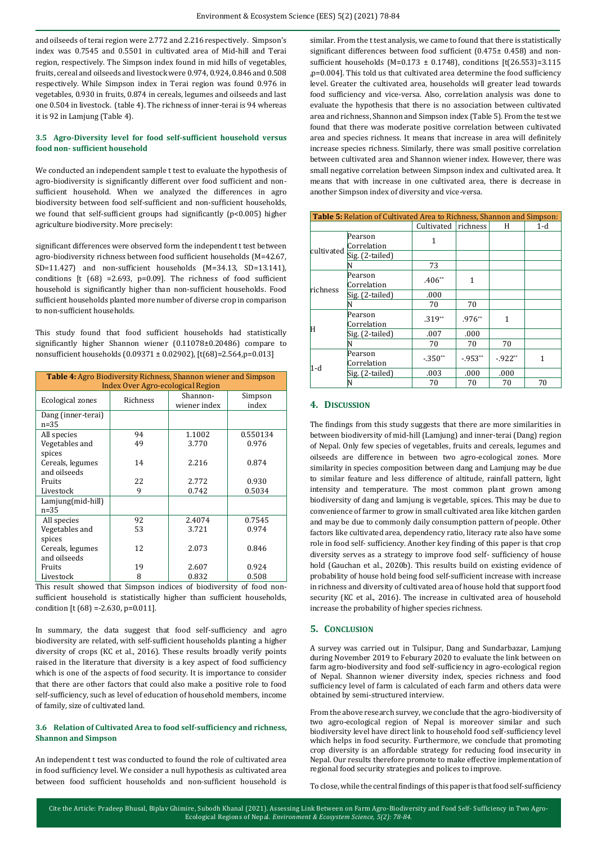and oilseeds of terai region were 2.772 and 2.216 respectively. Simpson's index was 0.7545 and 0.5501 in cultivated area of Mid-hill and Terai region, respectively. The Simpson index found in mid hills of vegetables, fruits, cereal and oilseeds and livestock were 0.974, 0.924, 0.846 and 0.508 respectively. While Simpson index in Terai region was found 0.976 in vegetables, 0.930 in fruits, 0.874 in cereals, legumes and oilseeds and last one 0.504 in livestock. (table 4). The richness of inner-terai is 94 whereas it is 92 in Lamjung (Table 4).

## **3.5 Agro-Diversity level for food self-sufficient household versus food non- sufficient household**

We conducted an independent sample t test to evaluate the hypothesis of agro-biodiversity is significantly different over food sufficient and nonsufficient household. When we analyzed the differences in agro biodiversity between food self-sufficient and non-sufficient households, we found that self-sufficient groups had significantly (p<0.005) higher agriculture biodiversity. More precisely:

significant differences were observed form the independent t test between agro-biodiversity richness between food sufficient households (M=42.67, SD=11.427) and non-sufficient households (M=34.13, SD=13.141), conditions [t  $(68)$  =2.693, p=0.09]. The richness of food sufficient household is significantly higher than non-sufficient households. Food sufficient households planted more number of diverse crop in comparison to non-sufficient households.

This study found that food sufficient households had statistically significantly higher Shannon wiener (0.11078±0.20486) compare to nonsufficient households (0.09371 ± 0.02902), [t(68)=2.564,p=0.013]

| <b>Table 4:</b> Agro Biodiversity Richness, Shannon wiener and Simpson |                                   |              |          |  |  |
|------------------------------------------------------------------------|-----------------------------------|--------------|----------|--|--|
|                                                                        | Index Over Agro-ecological Region |              |          |  |  |
| Ecological zones                                                       | Richness                          | Shannon-     | Simpson  |  |  |
|                                                                        |                                   | wiener index | index    |  |  |
| Dang (inner-terai)                                                     |                                   |              |          |  |  |
| $n = 35$                                                               |                                   |              |          |  |  |
| All species                                                            | 94                                | 1.1002       | 0.550134 |  |  |
| Vegetables and                                                         | 49                                | 3.770        | 0.976    |  |  |
| spices<br>Cereals, legumes                                             | 14                                | 2.216        | 0.874    |  |  |
| and oilseeds                                                           |                                   |              |          |  |  |
| <b>Fruits</b>                                                          | 22                                | 2.772        | 0.930    |  |  |
| Livestock                                                              | 9                                 | 0.742        | 0.5034   |  |  |
| Lamjung(mid-hill)                                                      |                                   |              |          |  |  |
| $n = 35$                                                               |                                   |              |          |  |  |
| All species                                                            | 92                                | 2.4074       | 0.7545   |  |  |
| Vegetables and                                                         | 53                                | 3.721        | 0.974    |  |  |
| spices                                                                 |                                   |              |          |  |  |
| Cereals, legumes                                                       | 12                                | 2.073        | 0.846    |  |  |
| and oilseeds                                                           |                                   |              |          |  |  |
| Fruits                                                                 | 19                                | 2.607        | 0.924    |  |  |
| Livestock                                                              | 8                                 | 0.832        | 0.508    |  |  |

This result showed that Simpson indices of biodiversity of food nonsufficient household is statistically higher than sufficient households, condition [t  $(68) = -2.630$ , p=0.011].

In summary, the data suggest that food self-sufficiency and agro biodiversity are related, with self-sufficient households planting a higher diversity of crops (KC et al., 2016). These results broadly verify points raised in the literature that diversity is a key aspect of food sufficiency which is one of the aspects of food security. It is importance to consider that there are other factors that could also make a positive role to food self-sufficiency, such as level of education of household members, income of family, size of cultivated land.

## **3.6 Relation of Cultivated Area to food self-sufficiency and richness, Shannon and Simpson**

An independent t test was conducted to found the role of cultivated area in food sufficiency level. We consider a null hypothesis as cultivated area between food sufficient households and non-sufficient household is similar. From the t test analysis, we came to found that there is statistically significant differences between food sufficient (0.475± 0.458) and nonsufficient households (M=0.173  $\pm$  0.1748), conditions [t(26.553)=3.115 ,p=0.004]. This told us that cultivated area determine the food sufficiency level. Greater the cultivated area, households will greater lead towards food sufficiency and vice-versa. Also, correlation analysis was done to evaluate the hypothesis that there is no association between cultivated area and richness, Shannon and Simpson index (Table 5). From the test we found that there was moderate positive correlation between cultivated area and species richness. It means that increase in area will definitely increase species richness. Similarly, there was small positive correlation between cultivated area and Shannon wiener index. However, there was small negative correlation between Simpson index and cultivated area. It means that with increase in one cultivated area, there is decrease in another Simpson index of diversity and vice-versa.

| <b>Table 5:</b> Relation of Cultivated Area to Richness, Shannon and Simpson: |                        |            |            |          |       |  |
|-------------------------------------------------------------------------------|------------------------|------------|------------|----------|-------|--|
|                                                                               |                        | Cultivated | richness   | H        | $1-d$ |  |
| cultivated                                                                    | Pearson<br>Correlation | 1          |            |          |       |  |
|                                                                               | Sig. (2-tailed)        |            |            |          |       |  |
|                                                                               |                        | 73         |            |          |       |  |
|                                                                               | Pearson<br>Correlation | $.406**$   | 1          |          |       |  |
| richness                                                                      | Sig. (2-tailed)        | .000       |            |          |       |  |
|                                                                               |                        | 70         | 70         |          |       |  |
| H                                                                             | Pearson<br>Correlation | $.319**$   | $.976**$   | 1        |       |  |
|                                                                               | Sig. (2-tailed)        | .007       | .000       |          |       |  |
|                                                                               |                        | 70         | 70         | 70       |       |  |
| 1-d                                                                           | Pearson<br>Correlation | $-.350**$  | $-0.953**$ | $-922**$ | 1     |  |
|                                                                               | Sig. (2-tailed)        | .003       | .000       | .000     |       |  |
|                                                                               |                        | 70         | 70         | 70       | 70    |  |

### **4. DISCUSSION**

The findings from this study suggests that there are more similarities in between biodiversity of mid-hill (Lamjung) and inner-terai (Dang) region of Nepal. Only few species of vegetables, fruits and cereals, legumes and oilseeds are difference in between two agro-ecological zones. More similarity in species composition between dang and Lamjung may be due to similar feature and less difference of altitude, rainfall pattern, light intensity and temperature. The most common plant grown among biodiversity of dang and lamjung is vegetable, spices. This may be due to convenience of farmer to grow in small cultivated area like kitchen garden and may be due to commonly daily consumption pattern of people. Other factors like cultivated area, dependency ratio, literacy rate also have some role in food self- sufficiency. Another key finding of this paper is that crop diversity serves as a strategy to improve food self- sufficiency of house hold (Gauchan et al., 2020b). This results build on existing evidence of probability of house hold being food self-sufficient increase with increase in richness and diversity of cultivated area of house hold that support food security (KC et al., 2016). The increase in cultivated area of household increase the probability of higher species richness.

## **5. CONCLUSION**

A survey was carried out in Tulsipur, Dang and Sundarbazar, Lamjung during November 2019 to Feburary 2020 to evaluate the link between on farm agro-biodiversity and food self-sufficiency in agro-ecological region of Nepal. Shannon wiener diversity index, species richness and food sufficiency level of farm is calculated of each farm and others data were obtained by semi-structured interview.

From the above research survey, we conclude that the agro-biodiversity of two agro-ecological region of Nepal is moreover similar and such biodiversity level have direct link to household food self-sufficiency level which helps in food security. Furthermore, we conclude that promoting crop diversity is an affordable strategy for reducing food insecurity in Nepal. Our results therefore promote to make effective implementation of regional food security strategies and polices to improve.

To close, while the central findings of this paper is that food self-sufficiency